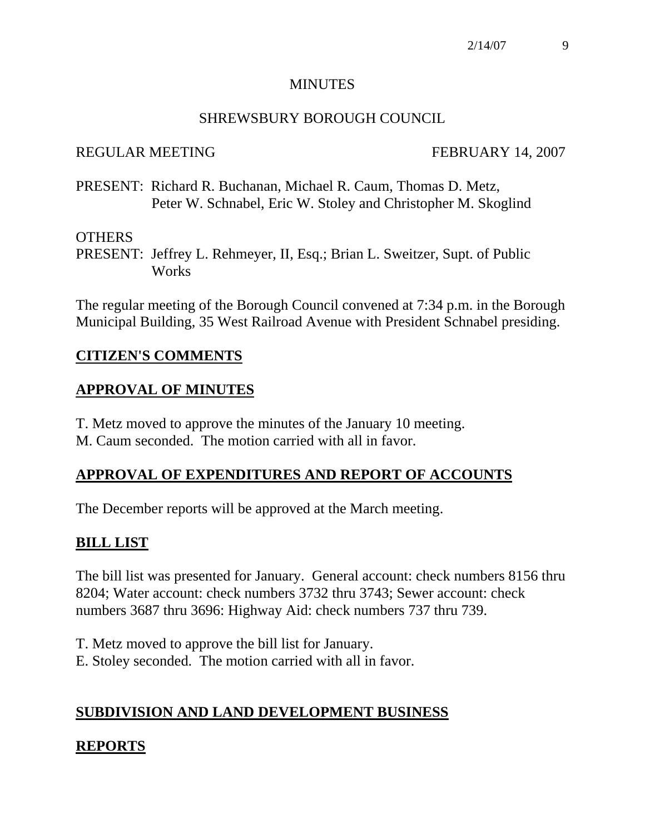#### **MINUTES**

#### SHREWSBURY BOROUGH COUNCIL

#### REGULAR MEETING FEBRUARY 14, 2007

PRESENT: Richard R. Buchanan, Michael R. Caum, Thomas D. Metz, Peter W. Schnabel, Eric W. Stoley and Christopher M. Skoglind

#### **OTHERS**

PRESENT: Jeffrey L. Rehmeyer, II, Esq.; Brian L. Sweitzer, Supt. of Public **Works** 

The regular meeting of the Borough Council convened at 7:34 p.m. in the Borough Municipal Building, 35 West Railroad Avenue with President Schnabel presiding.

## **CITIZEN'S COMMENTS**

## **APPROVAL OF MINUTES**

T. Metz moved to approve the minutes of the January 10 meeting. M. Caum seconded. The motion carried with all in favor.

# **APPROVAL OF EXPENDITURES AND REPORT OF ACCOUNTS**

The December reports will be approved at the March meeting.

## **BILL LIST**

The bill list was presented for January. General account: check numbers 8156 thru 8204; Water account: check numbers 3732 thru 3743; Sewer account: check numbers 3687 thru 3696: Highway Aid: check numbers 737 thru 739.

T. Metz moved to approve the bill list for January.

E. Stoley seconded. The motion carried with all in favor.

## **SUBDIVISION AND LAND DEVELOPMENT BUSINESS**

# **REPORTS**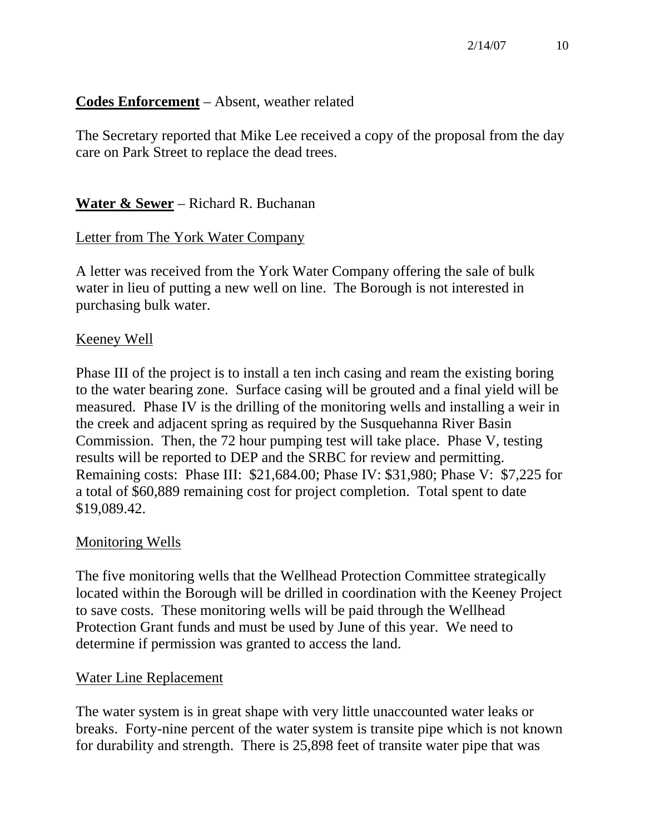## **Codes Enforcement** – Absent, weather related

The Secretary reported that Mike Lee received a copy of the proposal from the day care on Park Street to replace the dead trees.

# **Water & Sewer** – Richard R. Buchanan

## Letter from The York Water Company

A letter was received from the York Water Company offering the sale of bulk water in lieu of putting a new well on line. The Borough is not interested in purchasing bulk water.

#### Keeney Well

Phase III of the project is to install a ten inch casing and ream the existing boring to the water bearing zone. Surface casing will be grouted and a final yield will be measured. Phase IV is the drilling of the monitoring wells and installing a weir in the creek and adjacent spring as required by the Susquehanna River Basin Commission. Then, the 72 hour pumping test will take place. Phase V, testing results will be reported to DEP and the SRBC for review and permitting. Remaining costs: Phase III: \$21,684.00; Phase IV: \$31,980; Phase V: \$7,225 for a total of \$60,889 remaining cost for project completion. Total spent to date \$19,089.42.

#### Monitoring Wells

The five monitoring wells that the Wellhead Protection Committee strategically located within the Borough will be drilled in coordination with the Keeney Project to save costs. These monitoring wells will be paid through the Wellhead Protection Grant funds and must be used by June of this year. We need to determine if permission was granted to access the land.

#### Water Line Replacement

The water system is in great shape with very little unaccounted water leaks or breaks. Forty-nine percent of the water system is transite pipe which is not known for durability and strength. There is 25,898 feet of transite water pipe that was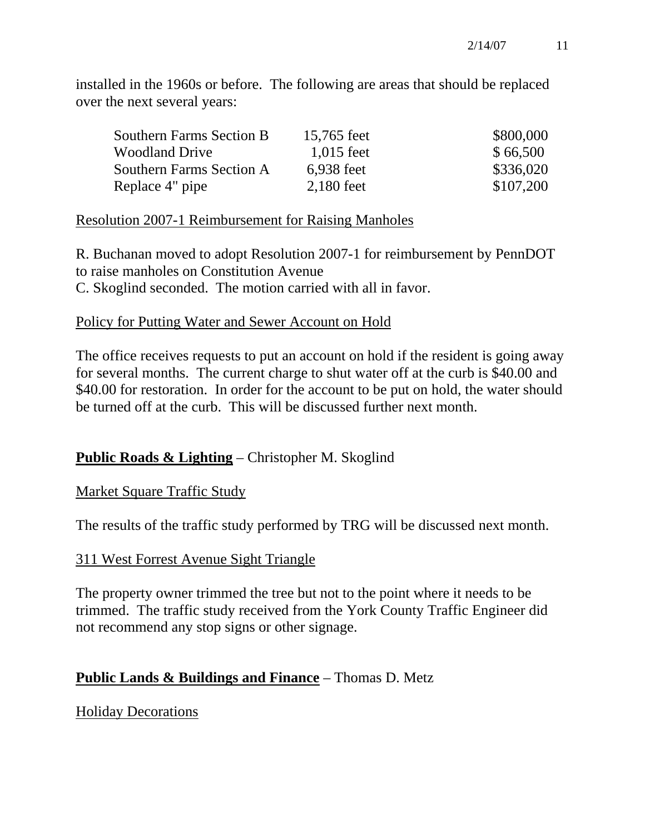installed in the 1960s or before. The following are areas that should be replaced over the next several years:

| <b>Southern Farms Section B</b> | 15,765 feet  | \$800,000 |
|---------------------------------|--------------|-----------|
| <b>Woodland Drive</b>           | $1,015$ feet | \$66,500  |
| Southern Farms Section A        | 6,938 feet   | \$336,020 |
| Replace 4" pipe                 | 2,180 feet   | \$107,200 |

## Resolution 2007-1 Reimbursement for Raising Manholes

R. Buchanan moved to adopt Resolution 2007-1 for reimbursement by PennDOT to raise manholes on Constitution Avenue C. Skoglind seconded. The motion carried with all in favor.

## Policy for Putting Water and Sewer Account on Hold

The office receives requests to put an account on hold if the resident is going away for several months. The current charge to shut water off at the curb is \$40.00 and \$40.00 for restoration. In order for the account to be put on hold, the water should be turned off at the curb. This will be discussed further next month.

# **Public Roads & Lighting** – Christopher M. Skoglind

## Market Square Traffic Study

The results of the traffic study performed by TRG will be discussed next month.

## 311 West Forrest Avenue Sight Triangle

The property owner trimmed the tree but not to the point where it needs to be trimmed. The traffic study received from the York County Traffic Engineer did not recommend any stop signs or other signage.

# **Public Lands & Buildings and Finance** – Thomas D. Metz

Holiday Decorations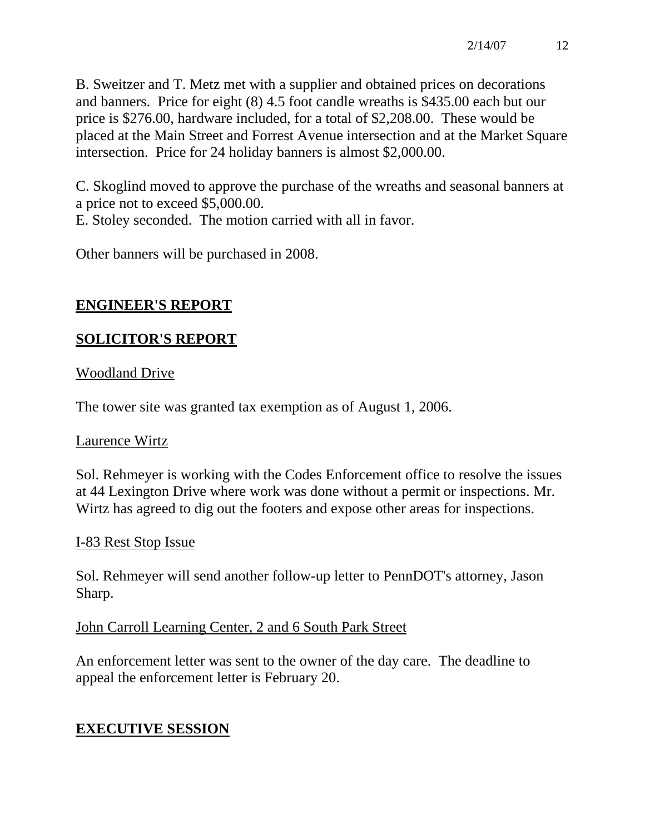B. Sweitzer and T. Metz met with a supplier and obtained prices on decorations and banners. Price for eight (8) 4.5 foot candle wreaths is \$435.00 each but our price is \$276.00, hardware included, for a total of \$2,208.00. These would be placed at the Main Street and Forrest Avenue intersection and at the Market Square intersection. Price for 24 holiday banners is almost \$2,000.00.

C. Skoglind moved to approve the purchase of the wreaths and seasonal banners at a price not to exceed \$5,000.00.

E. Stoley seconded. The motion carried with all in favor.

Other banners will be purchased in 2008.

# **ENGINEER'S REPORT**

# **SOLICITOR'S REPORT**

Woodland Drive

The tower site was granted tax exemption as of August 1, 2006.

## Laurence Wirtz

Sol. Rehmeyer is working with the Codes Enforcement office to resolve the issues at 44 Lexington Drive where work was done without a permit or inspections. Mr. Wirtz has agreed to dig out the footers and expose other areas for inspections.

## I-83 Rest Stop Issue

Sol. Rehmeyer will send another follow-up letter to PennDOT's attorney, Jason Sharp.

## John Carroll Learning Center, 2 and 6 South Park Street

An enforcement letter was sent to the owner of the day care. The deadline to appeal the enforcement letter is February 20.

# **EXECUTIVE SESSION**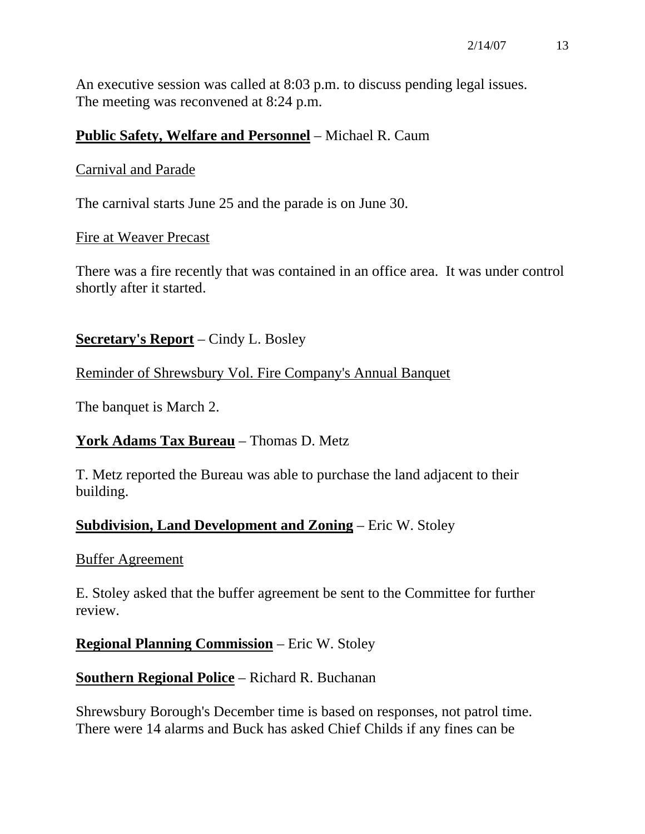An executive session was called at 8:03 p.m. to discuss pending legal issues. The meeting was reconvened at 8:24 p.m.

## **Public Safety, Welfare and Personnel** – Michael R. Caum

## Carnival and Parade

The carnival starts June 25 and the parade is on June 30.

## Fire at Weaver Precast

There was a fire recently that was contained in an office area. It was under control shortly after it started.

# **Secretary's Report** – Cindy L. Bosley

# Reminder of Shrewsbury Vol. Fire Company's Annual Banquet

The banquet is March 2.

# **York Adams Tax Bureau** – Thomas D. Metz

T. Metz reported the Bureau was able to purchase the land adjacent to their building.

# **Subdivision, Land Development and Zoning** – Eric W. Stoley

## Buffer Agreement

E. Stoley asked that the buffer agreement be sent to the Committee for further review.

# **Regional Planning Commission** – Eric W. Stoley

# **Southern Regional Police** – Richard R. Buchanan

Shrewsbury Borough's December time is based on responses, not patrol time. There were 14 alarms and Buck has asked Chief Childs if any fines can be